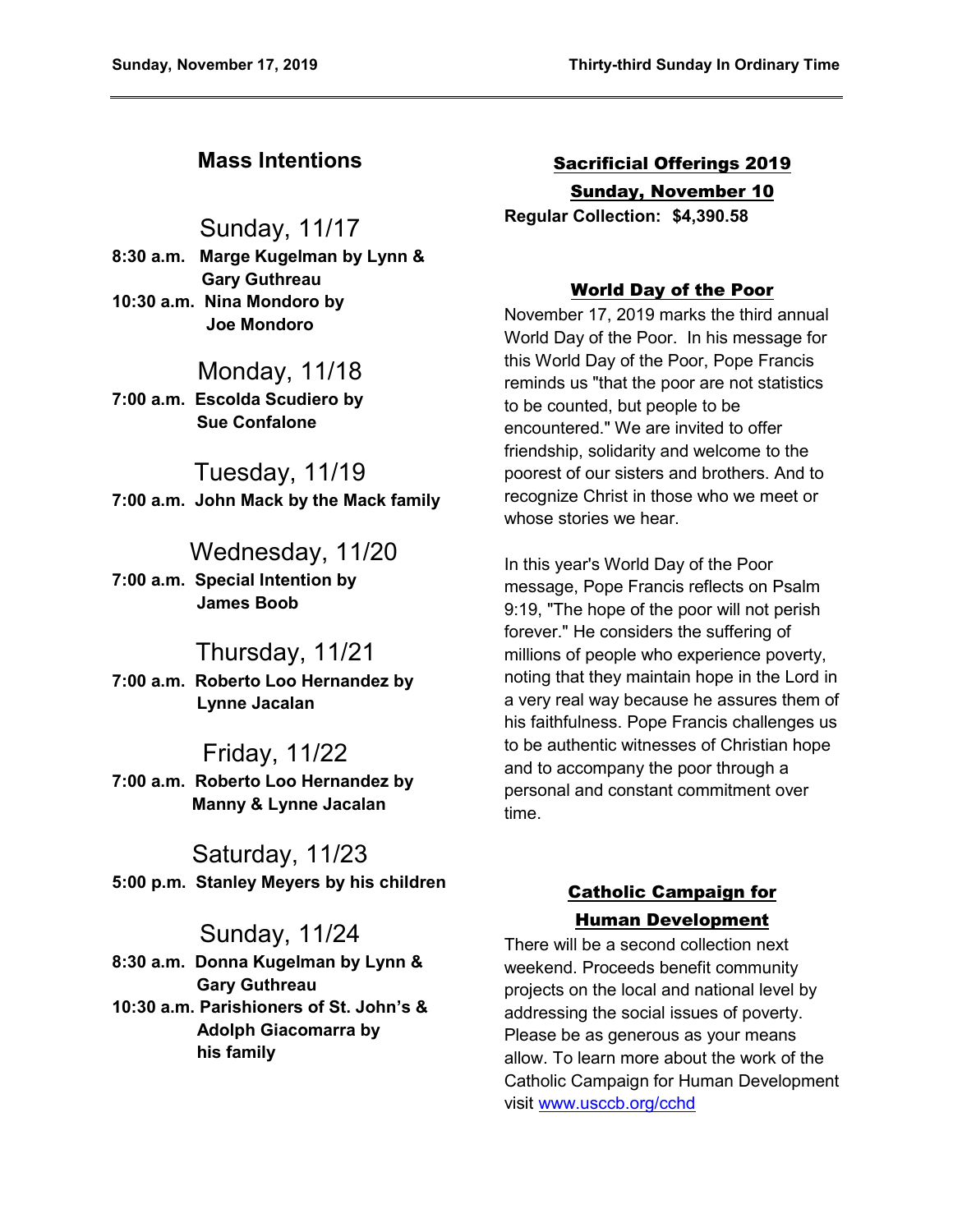## **Mass Intentions**

## Sunday, 11/17

**8:30 a.m. Marge Kugelman by Lynn & Gary Guthreau 10:30 a.m. Nina Mondoro by Joe Mondoro** 

## Monday, 11/18

**7:00 a.m. Escolda Scudiero by Sue Confalone** 

### Tuesday, 11/19 **7:00 a.m. John Mack by the Mack family**

# Wednesday, 11/20

**7:00 a.m. Special Intention by James Boob** 

## Thursday, 11/21

**7:00 a.m. Roberto Loo Hernandez by Lynne Jacalan** 

## Friday, 11/22

**7:00 a.m. Roberto Loo Hernandez by Manny & Lynne Jacalan** 

# Saturday, 11/23

**5:00 p.m. Stanley Meyers by his children** 

## Sunday, 11/24

**8:30 a.m. Donna Kugelman by Lynn & Gary Guthreau** 

**10:30 a.m. Parishioners of St. John's & Adolph Giacomarra by his family** 

# Sacrificial Offerings 2019 Sunday, November 10

**Regular Collection: \$4,390.58**

### World Day of the Poor

November 17, 2019 marks the third annual World Day of the Poor. In his message for this World Day of the Poor, Pope Francis reminds us "that the poor are not statistics to be counted, but people to be encountered." We are invited to offer friendship, solidarity and welcome to the poorest of our sisters and brothers. And to recognize Christ in those who we meet or whose stories we hear.

In this year's World Day of the Poor message, Pope Francis reflects on Psalm 9:19, "The hope of the poor will not perish forever." He considers the suffering of millions of people who experience poverty, noting that they maintain hope in the Lord in a very real way because he assures them of his faithfulness. Pope Francis challenges us to be authentic witnesses of Christian hope and to accompany the poor through a personal and constant commitment over time.

### Catholic Campaign for Human Development

There will be a second collection next weekend. Proceeds benefit community projects on the local and national level by addressing the social issues of poverty. Please be as generous as your means allow. To learn more about the work of the Catholic Campaign for Human Development visit [www.usccb.org/cchd](http://www.usccb.org/cchd)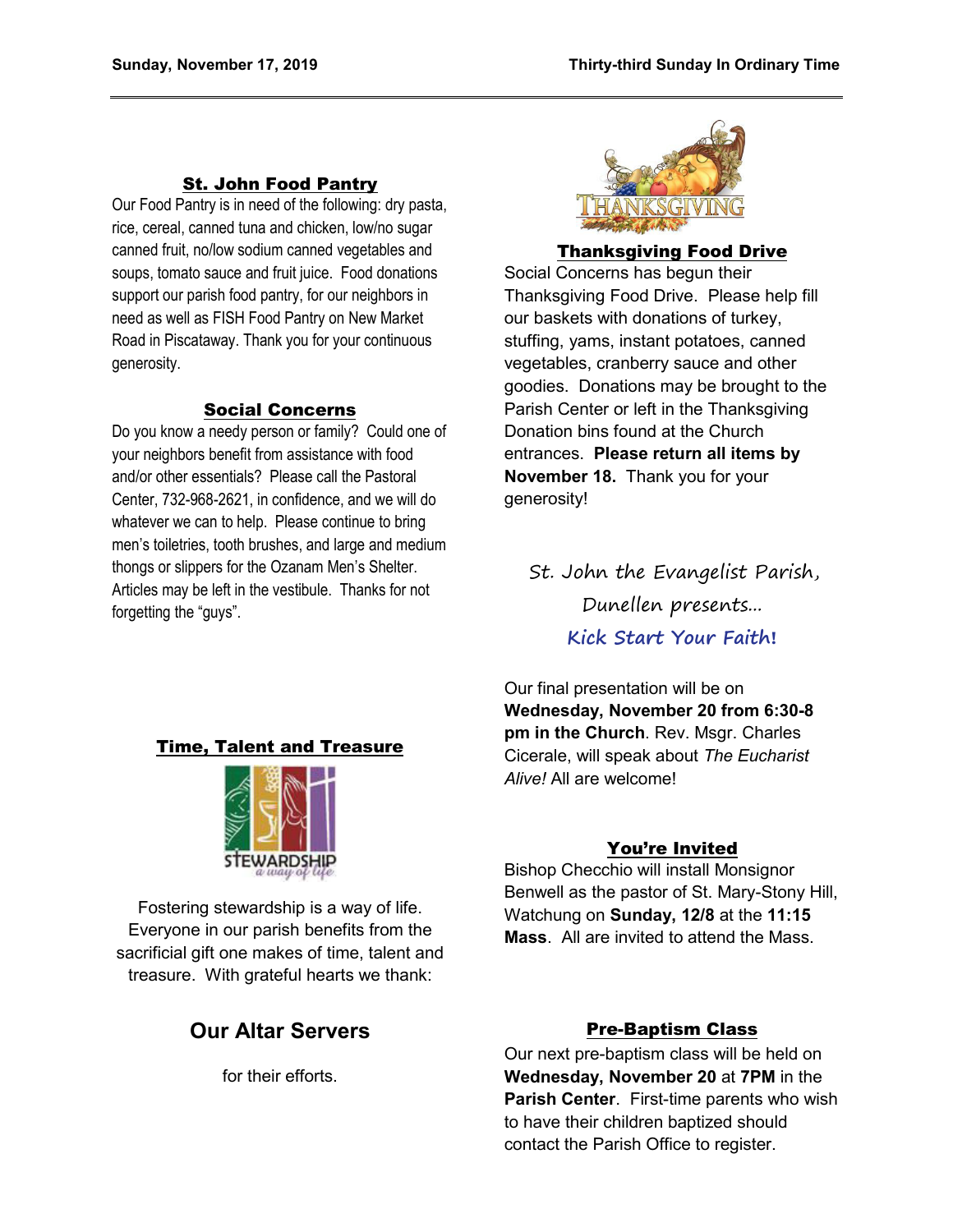#### St. John Food Pantry

Our Food Pantry is in need of the following: dry pasta, rice, cereal, canned tuna and chicken, low/no sugar canned fruit, no/low sodium canned vegetables and soups, tomato sauce and fruit juice. Food donations support our parish food pantry, for our neighbors in need as well as FISH Food Pantry on New Market Road in Piscataway. Thank you for your continuous generosity.

#### Social Concerns

Do you know a needy person or family? Could one of your neighbors benefit from assistance with food and/or other essentials? Please call the Pastoral Center, 732-968-2621, in confidence, and we will do whatever we can to help. Please continue to bring men's toiletries, tooth brushes, and large and medium thongs or slippers for the Ozanam Men's Shelter. Articles may be left in the vestibule. Thanks for not forgetting the "guys".



#### Thanksgiving Food Drive

Social Concerns has begun their Thanksgiving Food Drive. Please help fill our baskets with donations of turkey, stuffing, yams, instant potatoes, canned vegetables, cranberry sauce and other goodies. Donations may be brought to the Parish Center or left in the Thanksgiving Donation bins found at the Church entrances. **Please return all items by November 18.** Thank you for your generosity!

St. John the Evangelist Parish, Dunellen presents... **Kick Start Your Faith!**

Our final presentation will be on **Wednesday, November 20 from 6:30-8 pm in the Church**. Rev. Msgr. Charles Cicerale, will speak about *The Eucharist Alive!* All are welcome!

#### You're Invited

Bishop Checchio will install Monsignor Benwell as the pastor of St. Mary-Stony Hill, Watchung on **Sunday, 12/8** at the **11:15 Mass**. All are invited to attend the Mass.

#### Time, Talent and Treasure



Fostering stewardship is a way of life. Everyone in our parish benefits from the sacrificial gift one makes of time, talent and treasure. With grateful hearts we thank:

## **Our Altar Servers**

for their efforts.

#### Pre-Baptism Class

Our next pre-baptism class will be held on **Wednesday, November 20** at **7PM** in the **Parish Center**. First-time parents who wish to have their children baptized should contact the Parish Office to register.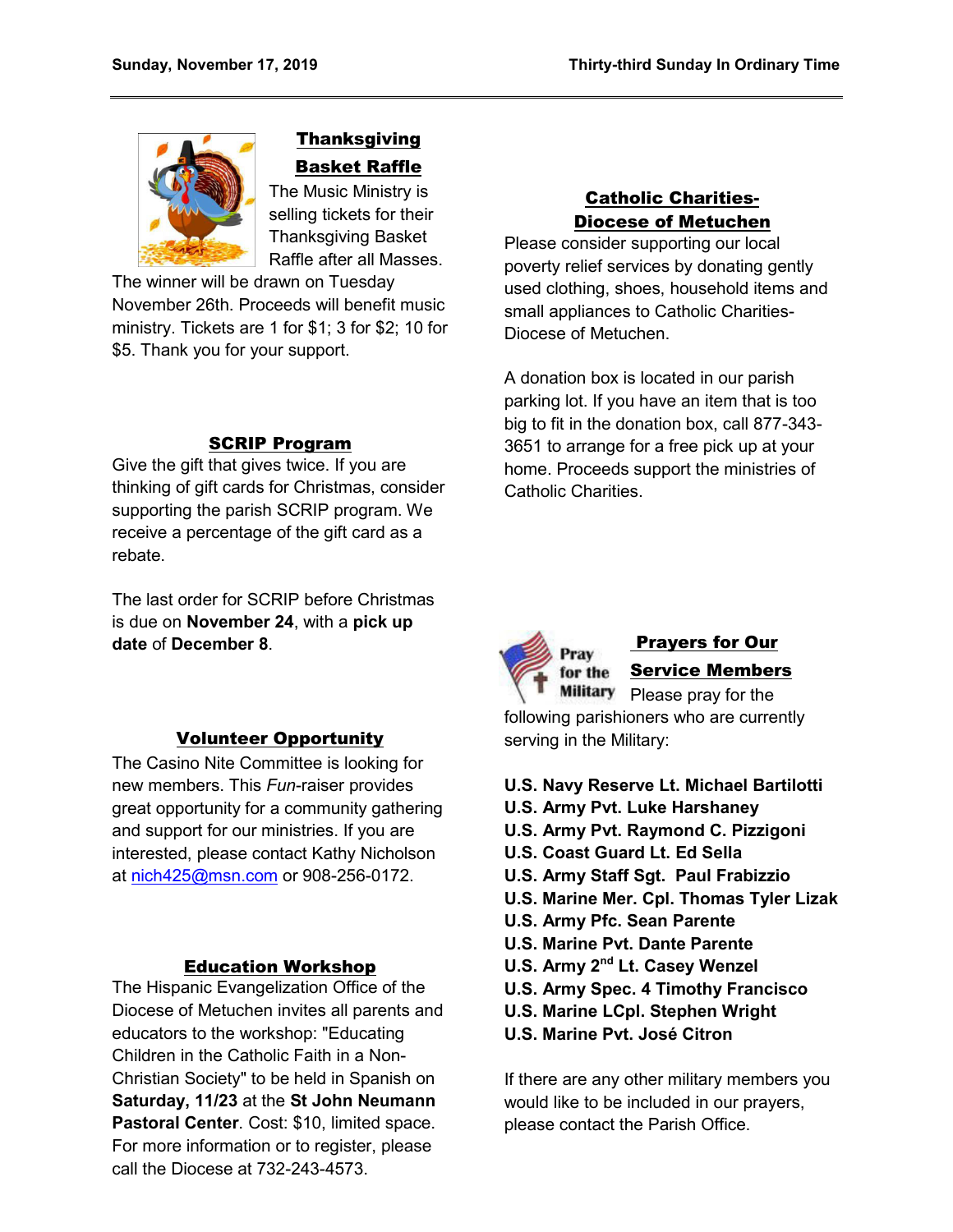

## **Thanksgiving** Basket Raffle

The Music Ministry is selling tickets for their Thanksgiving Basket Raffle after all Masses.

The winner will be drawn on Tuesday November 26th. Proceeds will benefit music ministry. Tickets are 1 for \$1; 3 for \$2; 10 for \$5. Thank you for your support.

#### SCRIP Program

Give the gift that gives twice. If you are thinking of gift cards for Christmas, consider supporting the parish SCRIP program. We receive a percentage of the gift card as a rebate.

The last order for SCRIP before Christmas is due on **November 24**, with a **pick up date** of **December 8**.

#### Volunteer Opportunity

The Casino Nite Committee is looking for new members. This *Fun*-raiser provides great opportunity for a community gathering and support for our ministries. If you are interested, please contact Kathy Nicholson at [nich425@msn.com](mailto:nich425@msn.com) or 908-256-0172.

#### Education Workshop

The Hispanic Evangelization Office of the Diocese of Metuchen invites all parents and educators to the workshop: "Educating Children in the Catholic Faith in a Non-Christian Society" to be held in Spanish on **Saturday, 11/23** at the **St John Neumann Pastoral Center**. Cost: \$10, limited space. For more information or to register, please call the Diocese at 732-243-4573.

## Catholic Charities-Diocese of Metuchen

Please consider supporting our local poverty relief services by donating gently used clothing, shoes, household items and small appliances to Catholic Charities-Diocese of Metuchen.

A donation box is located in our parish parking lot. If you have an item that is too big to fit in the donation box, call 877-343- 3651 to arrange for a free pick up at your home. Proceeds support the ministries of Catholic Charities.



## Prayers for Our Service Members

Please pray for the following parishioners who are currently serving in the Military:

- **U.S. Navy Reserve Lt. Michael Bartilotti**
- **U.S. Army Pvt. Luke Harshaney**
- **U.S. Army Pvt. Raymond C. Pizzigoni**
- **U.S. Coast Guard Lt. Ed Sella**
- **U.S. Army Staff Sgt. Paul Frabizzio**
- **U.S. Marine Mer. Cpl. Thomas Tyler Lizak**
- **U.S. Army Pfc. Sean Parente**
- **U.S. Marine Pvt. Dante Parente**
- **U.S. Army 2nd Lt. Casey Wenzel**
- **U.S. Army Spec. 4 Timothy Francisco**
- **U.S. Marine LCpl. Stephen Wright**
- **U.S. Marine Pvt. José Citron**

If there are any other military members you would like to be included in our prayers, please contact the Parish Office.